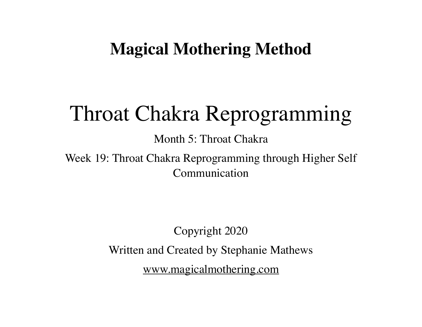## **Magical Mothering Method**

# Throat Chakra Reprogramming

Month 5: Throat Chakra

Week 19: Throat Chakra Reprogramming through Higher Self Communication

> Copyright 2020 Written and Created by Stephanie Mathews [www.magicalmothering.com](http://www.magicalmothering.com)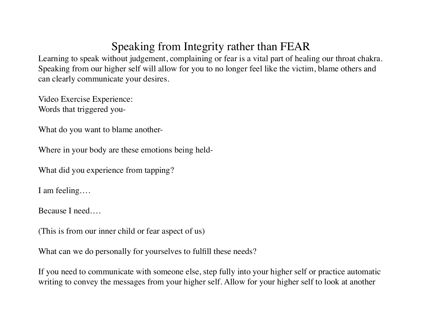### Speaking from Integrity rather than FEAR

Learning to speak without judgement, complaining or fear is a vital part of healing our throat chakra. Speaking from our higher self will allow for you to no longer feel like the victim, blame others and can clearly communicate your desires.

Video Exercise Experience: Words that triggered you-

What do you want to blame another-

Where in your body are these emotions being held-

What did you experience from tapping?

I am feeling….

Because I need….

(This is from our inner child or fear aspect of us)

What can we do personally for yourselves to fulfill these needs?

If you need to communicate with someone else, step fully into your higher self or practice automatic writing to convey the messages from your higher self. Allow for your higher self to look at another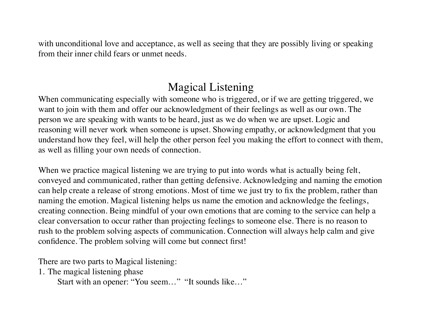with unconditional love and acceptance, as well as seeing that they are possibly living or speaking from their inner child fears or unmet needs.

#### Magical Listening

When communicating especially with someone who is triggered, or if we are getting triggered, we want to join with them and offer our acknowledgment of their feelings as well as our own. The person we are speaking with wants to be heard, just as we do when we are upset. Logic and reasoning will never work when someone is upset. Showing empathy, or acknowledgment that you understand how they feel, will help the other person feel you making the effort to connect with them, as well as filling your own needs of connection.

When we practice magical listening we are trying to put into words what is actually being felt, conveyed and communicated, rather than getting defensive. Acknowledging and naming the emotion can help create a release of strong emotions. Most of time we just try to fix the problem, rather than naming the emotion. Magical listening helps us name the emotion and acknowledge the feelings, creating connection. Being mindful of your own emotions that are coming to the service can help a clear conversation to occur rather than projecting feelings to someone else. There is no reason to rush to the problem solving aspects of communication. Connection will always help calm and give confidence. The problem solving will come but connect first!

There are two parts to Magical listening:

1. The magical listening phase

Start with an opener: "You seem…" "It sounds like…"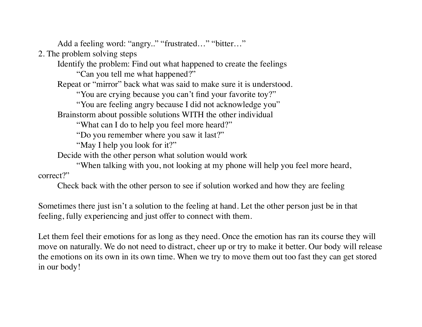Add a feeling word: "angry.." "frustrated..." "bitter..."

2. The problem solving steps

Identify the problem: Find out what happened to create the feelings

"Can you tell me what happened?"

Repeat or "mirror" back what was said to make sure it is understood.

"You are crying because you can't find your favorite toy?"

"You are feeling angry because I did not acknowledge you"

Brainstorm about possible solutions WITH the other individual

"What can I do to help you feel more heard?"

"Do you remember where you saw it last?"

"May I help you look for it?"

Decide with the other person what solution would work

"When talking with you, not looking at my phone will help you feel more heard, correct?"

Check back with the other person to see if solution worked and how they are feeling

Sometimes there just isn't a solution to the feeling at hand. Let the other person just be in that feeling, fully experiencing and just offer to connect with them.

Let them feel their emotions for as long as they need. Once the emotion has ran its course they will move on naturally. We do not need to distract, cheer up or try to make it better. Our body will release the emotions on its own in its own time. When we try to move them out too fast they can get stored in our body!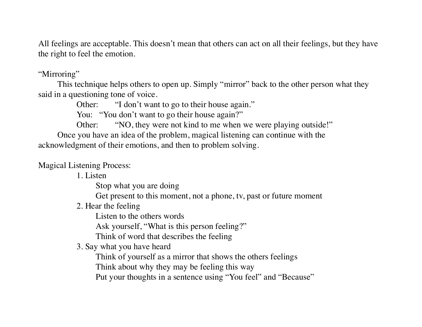All feelings are acceptable. This doesn't mean that others can act on all their feelings, but they have the right to feel the emotion.

#### "Mirroring"

This technique helps others to open up. Simply "mirror" back to the other person what they said in a questioning tone of voice.

Other: "I don't want to go to their house again."

You: "You don't want to go their house again?"

Other: "NO, they were not kind to me when we were playing outside!"

Once you have an idea of the problem, magical listening can continue with the acknowledgment of their emotions, and then to problem solving.

Magical Listening Process:

1. Listen

Stop what you are doing

Get present to this moment, not a phone, tv, past or future moment

2. Hear the feeling

Listen to the others words

Ask yourself, "What is this person feeling?"

Think of word that describes the feeling

3. Say what you have heard

Think of yourself as a mirror that shows the others feelings

Think about why they may be feeling this way

Put your thoughts in a sentence using "You feel" and "Because"